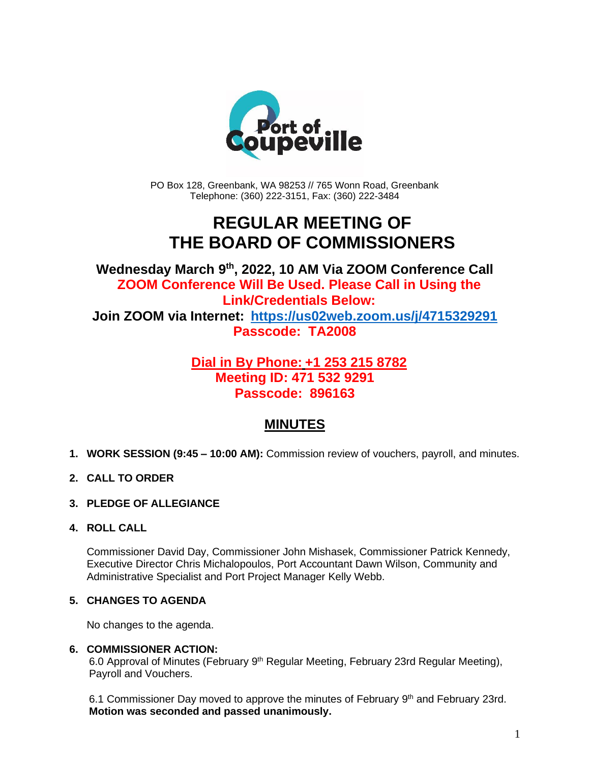

PO Box 128, Greenbank, WA 98253 // 765 Wonn Road, Greenbank Telephone: (360) 222-3151, Fax: (360) 222-3484

# **REGULAR MEETING OF THE BOARD OF COMMISSIONERS**

**Wednesday March 9 th , 2022, 10 AM Via ZOOM Conference Call ZOOM Conference Will Be Used. Please Call in Using the Link/Credentials Below: Join ZOOM via Internet: <https://us02web.zoom.us/j/4715329291> Passcode: TA2008**

### **Dial in By Phone: +1 253 215 8782 Meeting ID: 471 532 9291 Passcode: 896163**

## **MINUTES**

- **1. WORK SESSION (9:45 – 10:00 AM):** Commission review of vouchers, payroll, and minutes.
- **2. CALL TO ORDER**
- **3. PLEDGE OF ALLEGIANCE**
- **4. ROLL CALL**

Commissioner David Day, Commissioner John Mishasek, Commissioner Patrick Kennedy, Executive Director Chris Michalopoulos, Port Accountant Dawn Wilson, Community and Administrative Specialist and Port Project Manager Kelly Webb.

#### **5. CHANGES TO AGENDA**

No changes to the agenda.

#### **6. COMMISSIONER ACTION:**

6.0 Approval of Minutes (February 9<sup>th</sup> Regular Meeting, February 23rd Regular Meeting), Payroll and Vouchers.

6.1 Commissioner Day moved to approve the minutes of February 9<sup>th</sup> and February 23rd. **Motion was seconded and passed unanimously.**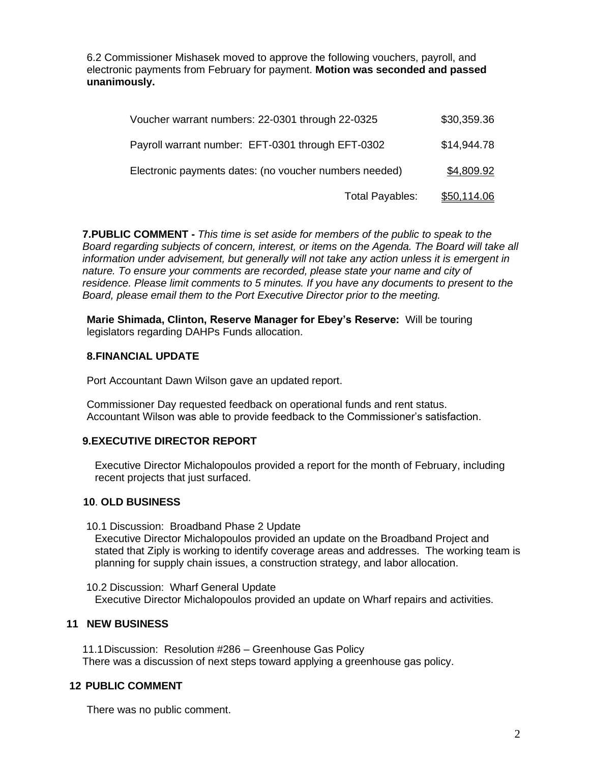6.2 Commissioner Mishasek moved to approve the following vouchers, payroll, and electronic payments from February for payment. **Motion was seconded and passed unanimously.**

| Voucher warrant numbers: 22-0301 through 22-0325       |                 | \$30,359.36 |
|--------------------------------------------------------|-----------------|-------------|
| Payroll warrant number: EFT-0301 through EFT-0302      |                 | \$14,944.78 |
| Electronic payments dates: (no voucher numbers needed) |                 | \$4,809.92  |
|                                                        | Total Payables: | \$50,114.06 |

**7.PUBLIC COMMENT -** *This time is set aside for members of the public to speak to the Board regarding subjects of concern, interest, or items on the Agenda. The Board will take all information under advisement, but generally will not take any action unless it is emergent in nature. To ensure your comments are recorded, please state your name and city of residence. Please limit comments to 5 minutes. If you have any documents to present to the Board, please email them to the Port Executive Director prior to the meeting.*

**Marie Shimada, Clinton, Reserve Manager for Ebey's Reserve:** Will be touring legislators regarding DAHPs Funds allocation.

#### **8.FINANCIAL UPDATE**

Port Accountant Dawn Wilson gave an updated report.

Commissioner Day requested feedback on operational funds and rent status. Accountant Wilson was able to provide feedback to the Commissioner's satisfaction.

#### **9.EXECUTIVE DIRECTOR REPORT**

Executive Director Michalopoulos provided a report for the month of February, including recent projects that just surfaced.

#### **10**. **OLD BUSINESS**

10.1 Discussion: Broadband Phase 2 Update Executive Director Michalopoulos provided an update on the Broadband Project and stated that Ziply is working to identify coverage areas and addresses. The working team is planning for supply chain issues, a construction strategy, and labor allocation.

10.2 Discussion: Wharf General Update Executive Director Michalopoulos provided an update on Wharf repairs and activities.

#### **11 NEW BUSINESS**

11.1Discussion: Resolution #286 – Greenhouse Gas Policy There was a discussion of next steps toward applying a greenhouse gas policy.

#### **12 PUBLIC COMMENT**

There was no public comment.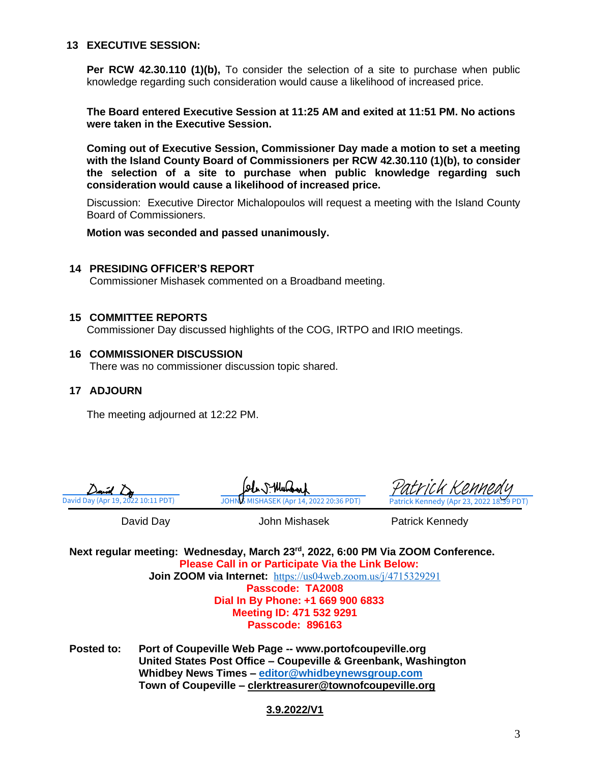#### **13 EXECUTIVE SESSION:**

**Per RCW 42.30.110 (1)(b).** To consider the selection of a site to purchase when public knowledge regarding such consideration would cause a likelihood of increased price.

**The Board entered Executive Session at 11:25 AM and exited at 11:51 PM. No actions were taken in the Executive Session.**

**Coming out of Executive Session, Commissioner Day made a motion to set a meeting with the Island County Board of Commissioners per RCW 42.30.110 (1)(b), to consider the selection of a site to purchase when public knowledge regarding such consideration would cause a likelihood of increased price.**

Discussion: Executive Director Michalopoulos will request a meeting with the Island County Board of Commissioners.

**Motion was seconded and passed unanimously.**

#### **14 PRESIDING OFFICER'S REPORT**

Commissioner Mishasek commented on a Broadband meeting.

#### **15 COMMITTEE REPORTS**

Commissioner Day discussed highlights of the COG, IRTPO and IRIO meetings.

**16 COMMISSIONER DISCUSSION** There was no commissioner discussion topic shared.

#### **17 ADJOURN**

The meeting adjourned at 12:22 PM.



[David Day \(Apr 19, 2022 10:11 PDT\)](https://na3.documents.adobe.com/verifier?tx=CBJCHBCAABAASaEWpEkH7hhX-OxzL1RAaFIY37KT01GF) JOHNS MISHASEK (Apr 14, 2022 20:36 PDT) [Patrick Kennedy](https://na3.documents.adobe.com/verifier?tx=CBJCHBCAABAASaEWpEkH7hhX-OxzL1RAaFIY37KT01GF) (Apr 23, 2022 18:39 PDT)

David Day **Communist Clubs** John Mishasek **Patrick Kennedy** 

**Next regular meeting: Wednesday, March 23 rd, 2022, 6:00 PM Via ZOOM Conference. Please Call in or Participate Via the Link Below: Join ZOOM via Internet:** <https://us04web.zoom.us/j/4715329291> **Passcode: TA2008 Dial In By Phone: +1 669 900 6833 Meeting ID: 471 532 9291**

**Passcode: 896163**

**Posted to: Port of Coupeville Web Page -- www.portofcoupeville.org United States Post Office – Coupeville & Greenbank, Washington Whidbey News Times – [editor@whidbeynewsgroup.com](mailto:editor@whidbeynewsgroup.com) Town of Coupeville – [clerktreasurer@townofcoupeville.org](mailto:clerktreasurer@townofcoupeville.org)**

#### **3.9.2022/V1**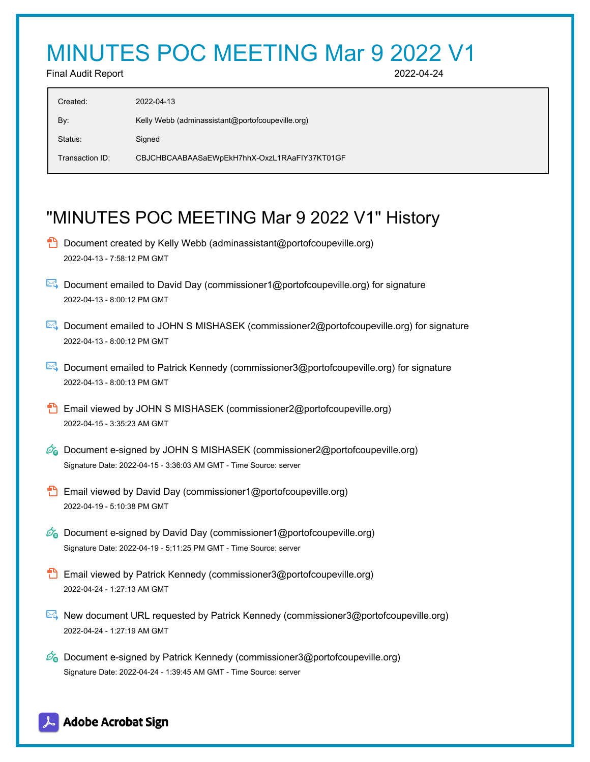# MINUTES POC MEETING Mar 9 2022 V1

Final Audit Report 2022-04-24

| Created:        | 2022-04-13                                       |
|-----------------|--------------------------------------------------|
| By:             | Kelly Webb (adminassistant@portofcoupeville.org) |
| Status:         | Signed                                           |
| Transaction ID: | CBJCHBCAABAASaEWpEkH7hhX-OxzL1RAaFIY37KT01GF     |

# "MINUTES POC MEETING Mar 9 2022 V1" History

- **D** Document created by Kelly Webb (adminassistant@portofcoupeville.org) 2022-04-13 - 7:58:12 PM GMT
- Document emailed to David Day (commissioner1@portofcoupeville.org) for signature 2022-04-13 - 8:00:12 PM GMT
- Document emailed to JOHN S MISHASEK (commissioner2@portofcoupeville.org) for signature 2022-04-13 - 8:00:12 PM GMT
- Document emailed to Patrick Kennedy (commissioner3@portofcoupeville.org) for signature 2022-04-13 - 8:00:13 PM GMT
- **Email viewed by JOHN S MISHASEK (commissioner2@portofcoupeville.org)** 2022-04-15 - 3:35:23 AM GMT
- $\mathcal{O}_0$  Document e-signed by JOHN S MISHASEK (commissioner2@portofcoupeville.org) Signature Date: 2022-04-15 - 3:36:03 AM GMT - Time Source: server
- **Email viewed by David Day (commissioner1@portofcoupeville.org)** 2022-04-19 - 5:10:38 PM GMT
- $\mathcal{D}_0$  Document e-signed by David Day (commissioner1@portofcoupeville.org) Signature Date: 2022-04-19 - 5:11:25 PM GMT - Time Source: server
- **Email viewed by Patrick Kennedy (commissioner3@portofcoupeville.org)** 2022-04-24 - 1:27:13 AM GMT
- New document URL requested by Patrick Kennedy (commissioner3@portofcoupeville.org) 2022-04-24 - 1:27:19 AM GMT
- $\mathcal{O}_0$  Document e-signed by Patrick Kennedy (commissioner3@portofcoupeville.org) Signature Date: 2022-04-24 - 1:39:45 AM GMT - Time Source: server

## Adobe Acrobat Sign